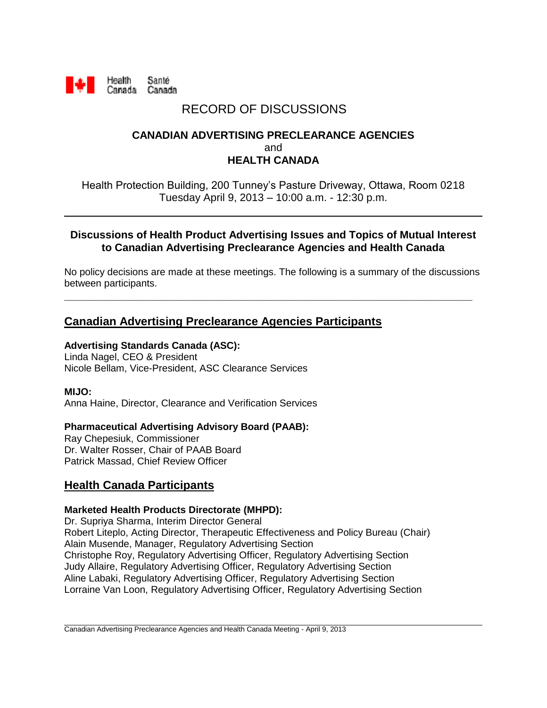

# RECORD OF DISCUSSIONS

# **CANADIAN ADVERTISING PRECLEARANCE AGENCIES** and **HEALTH CANADA**

Health Protection Building, 200 Tunney's Pasture Driveway, Ottawa, Room 0218 Tuesday April 9, 2013 – 10:00 a.m. - 12:30 p.m.

### **Discussions of Health Product Advertising Issues and Topics of Mutual Interest to Canadian Advertising Preclearance Agencies and Health Canada**

No policy decisions are made at these meetings. The following is a summary of the discussions between participants.

**\_\_\_\_\_\_\_\_\_\_\_\_\_\_\_\_\_\_\_\_\_\_\_\_\_\_\_\_\_\_\_\_\_\_\_\_\_\_\_\_\_\_\_\_\_\_\_\_\_\_\_\_\_\_\_\_\_\_\_\_\_\_\_\_\_\_\_\_**

# **Canadian Advertising Preclearance Agencies Participants**

### **Advertising Standards Canada (ASC):**

Linda Nagel, CEO & President Nicole Bellam, Vice-President, ASC Clearance Services

#### **MIJO:**

Anna Haine, Director, Clearance and Verification Services

#### **Pharmaceutical Advertising Advisory Board (PAAB):**

Ray Chepesiuk, Commissioner Dr. Walter Rosser, Chair of PAAB Board Patrick Massad, Chief Review Officer

# **Health Canada Participants**

#### **Marketed Health Products Directorate (MHPD):**

Dr. Supriya Sharma, Interim Director General Robert Liteplo, Acting Director, Therapeutic Effectiveness and Policy Bureau (Chair) Alain Musende, Manager, Regulatory Advertising Section Christophe Roy, Regulatory Advertising Officer, Regulatory Advertising Section Judy Allaire, Regulatory Advertising Officer, Regulatory Advertising Section Aline Labaki, Regulatory Advertising Officer, Regulatory Advertising Section Lorraine Van Loon, Regulatory Advertising Officer, Regulatory Advertising Section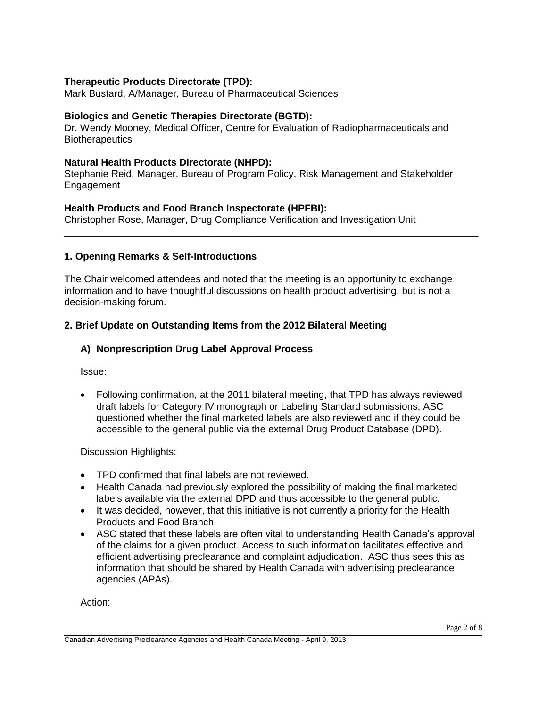### **Therapeutic Products Directorate (TPD):**

Mark Bustard, A/Manager, Bureau of Pharmaceutical Sciences

#### **Biologics and Genetic Therapies Directorate (BGTD):**

Dr. Wendy Mooney, Medical Officer, Centre for Evaluation of Radiopharmaceuticals and **Biotherapeutics** 

#### **Natural Health Products Directorate (NHPD):**

Stephanie Reid, Manager, Bureau of Program Policy, Risk Management and Stakeholder **Engagement** 

\_\_\_\_\_\_\_\_\_\_\_\_\_\_\_\_\_\_\_\_\_\_\_\_\_\_\_\_\_\_\_\_\_\_\_\_\_\_\_\_\_\_\_\_\_\_\_\_\_\_\_\_\_\_\_\_\_\_\_\_\_\_\_\_\_\_\_\_\_

#### **Health Products and Food Branch Inspectorate (HPFBI):**

Christopher Rose, Manager, Drug Compliance Verification and Investigation Unit

#### **1. Opening Remarks & Self-Introductions**

The Chair welcomed attendees and noted that the meeting is an opportunity to exchange information and to have thoughtful discussions on health product advertising, but is not a decision-making forum.

#### **2. Brief Update on Outstanding Items from the 2012 Bilateral Meeting**

#### **A) Nonprescription Drug Label Approval Process**

Issue:

 Following confirmation, at the 2011 bilateral meeting, that TPD has always reviewed draft labels for Category IV monograph or Labeling Standard submissions, ASC questioned whether the final marketed labels are also reviewed and if they could be accessible to the general public via the external Drug Product Database (DPD).

Discussion Highlights:

- TPD confirmed that final labels are not reviewed.
- Health Canada had previously explored the possibility of making the final marketed labels available via the external DPD and thus accessible to the general public.
- It was decided, however, that this initiative is not currently a priority for the Health Products and Food Branch.
- ASC stated that these labels are often vital to understanding Health Canada's approval of the claims for a given product. Access to such information facilitates effective and efficient advertising preclearance and complaint adjudication. ASC thus sees this as information that should be shared by Health Canada with advertising preclearance agencies (APAs).

Action: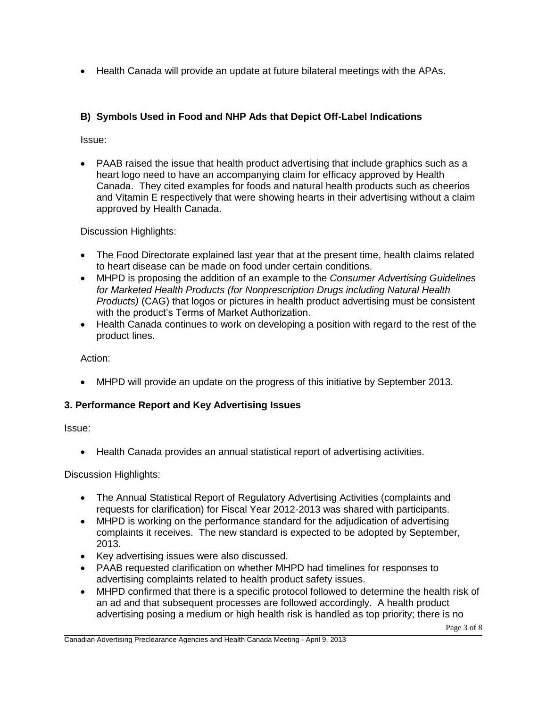Health Canada will provide an update at future bilateral meetings with the APAs.

# **B) Symbols Used in Food and NHP Ads that Depict Off-Label Indications**

Issue:

 PAAB raised the issue that health product advertising that include graphics such as a heart logo need to have an accompanying claim for efficacy approved by Health Canada. They cited examples for foods and natural health products such as cheerios and Vitamin E respectively that were showing hearts in their advertising without a claim approved by Health Canada.

Discussion Highlights:

- The Food Directorate explained last year that at the present time, health claims related to heart disease can be made on food under certain conditions.
- MHPD is proposing the addition of an example to the *Consumer Advertising Guidelines for Marketed Health Products (for Nonprescription Drugs including Natural Health Products)* (CAG) that logos or pictures in health product advertising must be consistent with the product's Terms of Market Authorization.
- Health Canada continues to work on developing a position with regard to the rest of the product lines.

Action:

MHPD will provide an update on the progress of this initiative by September 2013.

# **3. Performance Report and Key Advertising Issues**

Issue:

Health Canada provides an annual statistical report of advertising activities.

Discussion Highlights:

- The Annual Statistical Report of Regulatory Advertising Activities (complaints and requests for clarification) for Fiscal Year 2012-2013 was shared with participants.
- MHPD is working on the performance standard for the adjudication of advertising complaints it receives. The new standard is expected to be adopted by September, 2013.
- Key advertising issues were also discussed.
- PAAB requested clarification on whether MHPD had timelines for responses to advertising complaints related to health product safety issues.
- MHPD confirmed that there is a specific protocol followed to determine the health risk of an ad and that subsequent processes are followed accordingly. A health product advertising posing a medium or high health risk is handled as top priority; there is no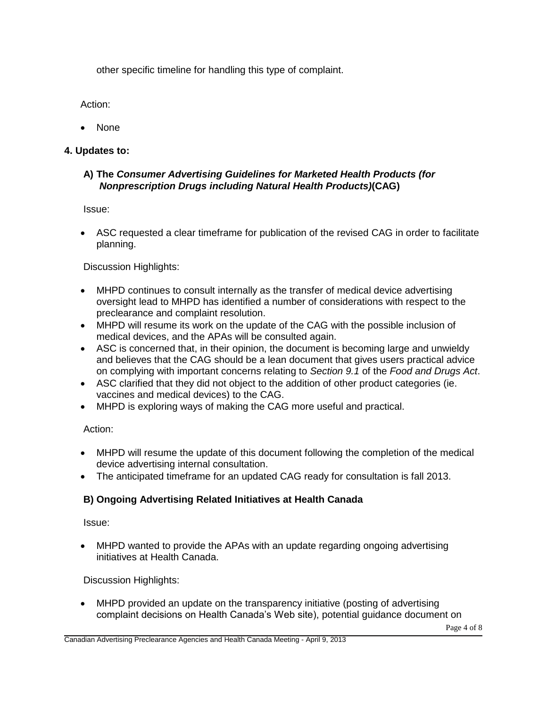other specific timeline for handling this type of complaint.

Action:

• None

# **4. Updates to:**

# **A) The** *Consumer Advertising Guidelines for Marketed Health Products (for Nonprescription Drugs including Natural Health Products)***(CAG)**

Issue:

 ASC requested a clear timeframe for publication of the revised CAG in order to facilitate planning.

Discussion Highlights:

- MHPD continues to consult internally as the transfer of medical device advertising oversight lead to MHPD has identified a number of considerations with respect to the preclearance and complaint resolution.
- MHPD will resume its work on the update of the CAG with the possible inclusion of medical devices, and the APAs will be consulted again.
- ASC is concerned that, in their opinion, the document is becoming large and unwieldy and believes that the CAG should be a lean document that gives users practical advice on complying with important concerns relating to *Section 9.1* of the *Food and Drugs Act*.
- ASC clarified that they did not object to the addition of other product categories (ie. vaccines and medical devices) to the CAG.
- MHPD is exploring ways of making the CAG more useful and practical.

Action:

- MHPD will resume the update of this document following the completion of the medical device advertising internal consultation.
- The anticipated timeframe for an updated CAG ready for consultation is fall 2013.

# **B) Ongoing Advertising Related Initiatives at Health Canada**

Issue:

 MHPD wanted to provide the APAs with an update regarding ongoing advertising initiatives at Health Canada.

Discussion Highlights:

 MHPD provided an update on the transparency initiative (posting of advertising complaint decisions on Health Canada's Web site), potential guidance document on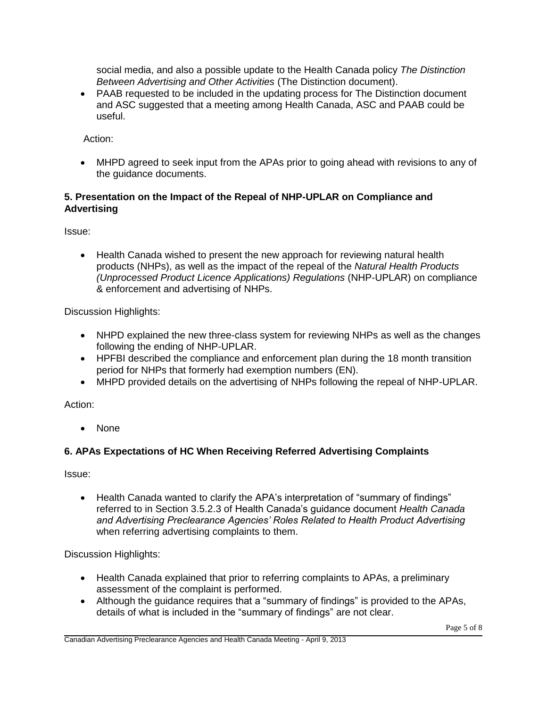social media, and also a possible update to the Health Canada policy *The Distinction Between Advertising and Other Activities* (The Distinction document).

 PAAB requested to be included in the updating process for The Distinction document and ASC suggested that a meeting among Health Canada, ASC and PAAB could be useful.

Action:

 MHPD agreed to seek input from the APAs prior to going ahead with revisions to any of the guidance documents.

# **5. Presentation on the Impact of the Repeal of NHP-UPLAR on Compliance and Advertising**

Issue:

 Health Canada wished to present the new approach for reviewing natural health products (NHPs), as well as the impact of the repeal of the *Natural Health Products (Unprocessed Product Licence Applications) Regulations* (NHP-UPLAR) on compliance & enforcement and advertising of NHPs.

Discussion Highlights:

- NHPD explained the new three-class system for reviewing NHPs as well as the changes following the ending of NHP-UPLAR.
- HPFBI described the compliance and enforcement plan during the 18 month transition period for NHPs that formerly had exemption numbers (EN).
- MHPD provided details on the advertising of NHPs following the repeal of NHP-UPLAR.

Action:

• None

# **6. APAs Expectations of HC When Receiving Referred Advertising Complaints**

Issue:

• Health Canada wanted to clarify the APA's interpretation of "summary of findings" referred to in Section 3.5.2.3 of Health Canada's guidance document *Health Canada and Advertising Preclearance Agencies' Roles Related to Health Product Advertising* when referring advertising complaints to them.

Discussion Highlights:

- Health Canada explained that prior to referring complaints to APAs, a preliminary assessment of the complaint is performed.
- Although the guidance requires that a "summary of findings" is provided to the APAs, details of what is included in the "summary of findings" are not clear.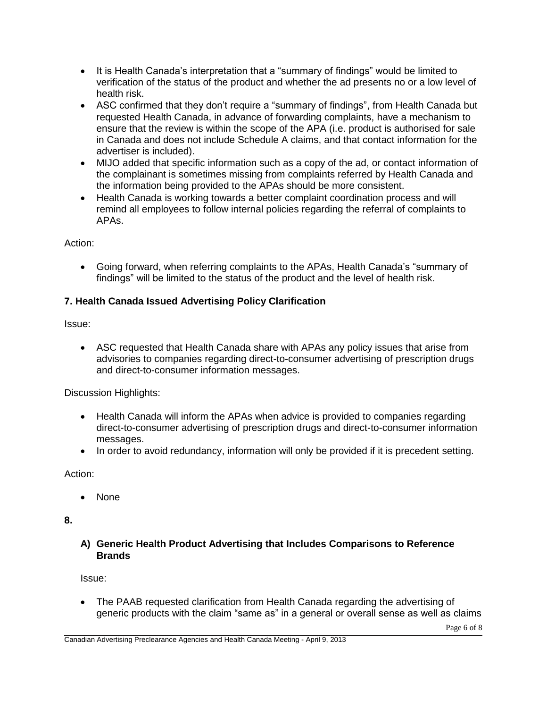- It is Health Canada's interpretation that a "summary of findings" would be limited to verification of the status of the product and whether the ad presents no or a low level of health risk.
- ASC confirmed that they don't require a "summary of findings", from Health Canada but requested Health Canada, in advance of forwarding complaints, have a mechanism to ensure that the review is within the scope of the APA (i.e. product is authorised for sale in Canada and does not include Schedule A claims, and that contact information for the advertiser is included).
- MIJO added that specific information such as a copy of the ad, or contact information of the complainant is sometimes missing from complaints referred by Health Canada and the information being provided to the APAs should be more consistent.
- Health Canada is working towards a better complaint coordination process and will remind all employees to follow internal policies regarding the referral of complaints to APAs.

# Action:

 Going forward, when referring complaints to the APAs, Health Canada's "summary of findings" will be limited to the status of the product and the level of health risk.

# **7. Health Canada Issued Advertising Policy Clarification**

Issue:

 ASC requested that Health Canada share with APAs any policy issues that arise from advisories to companies regarding direct-to-consumer advertising of prescription drugs and direct-to-consumer information messages.

Discussion Highlights:

- Health Canada will inform the APAs when advice is provided to companies regarding direct-to-consumer advertising of prescription drugs and direct-to-consumer information messages.
- In order to avoid redundancy, information will only be provided if it is precedent setting.

Action:

• None

**8.** 

# **A) Generic Health Product Advertising that Includes Comparisons to Reference Brands**

Issue:

 The PAAB requested clarification from Health Canada regarding the advertising of generic products with the claim "same as" in a general or overall sense as well as claims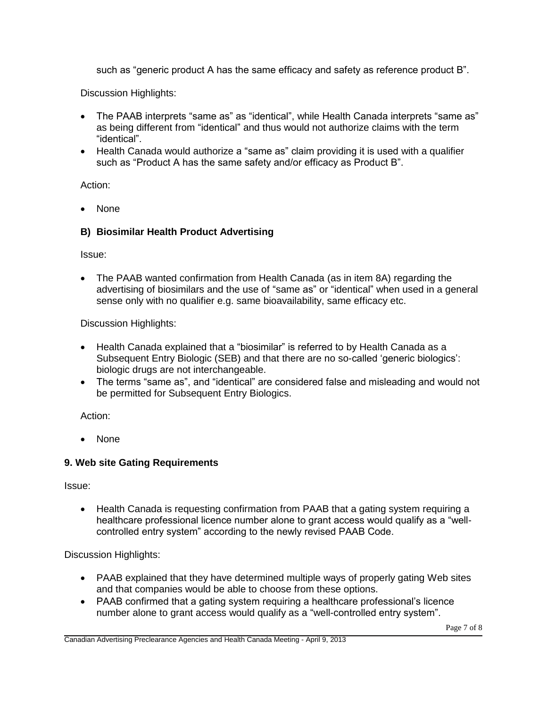such as "generic product A has the same efficacy and safety as reference product B".

Discussion Highlights:

- The PAAB interprets "same as" as "identical", while Health Canada interprets "same as" as being different from "identical" and thus would not authorize claims with the term "identical".
- Health Canada would authorize a "same as" claim providing it is used with a qualifier such as "Product A has the same safety and/or efficacy as Product B".

Action:

• None

#### **B) Biosimilar Health Product Advertising**

Issue:

 The PAAB wanted confirmation from Health Canada (as in item 8A) regarding the advertising of biosimilars and the use of "same as" or "identical" when used in a general sense only with no qualifier e.g. same bioavailability, same efficacy etc.

Discussion Highlights:

- Health Canada explained that a "biosimilar" is referred to by Health Canada as a Subsequent Entry Biologic (SEB) and that there are no so-called 'generic biologics': biologic drugs are not interchangeable.
- The terms "same as", and "identical" are considered false and misleading and would not be permitted for Subsequent Entry Biologics.

Action:

• None

#### **9. Web site Gating Requirements**

Issue:

 Health Canada is requesting confirmation from PAAB that a gating system requiring a healthcare professional licence number alone to grant access would qualify as a "wellcontrolled entry system" according to the newly revised PAAB Code.

Discussion Highlights:

- PAAB explained that they have determined multiple ways of properly gating Web sites and that companies would be able to choose from these options.
- PAAB confirmed that a gating system requiring a healthcare professional's licence number alone to grant access would qualify as a "well-controlled entry system".